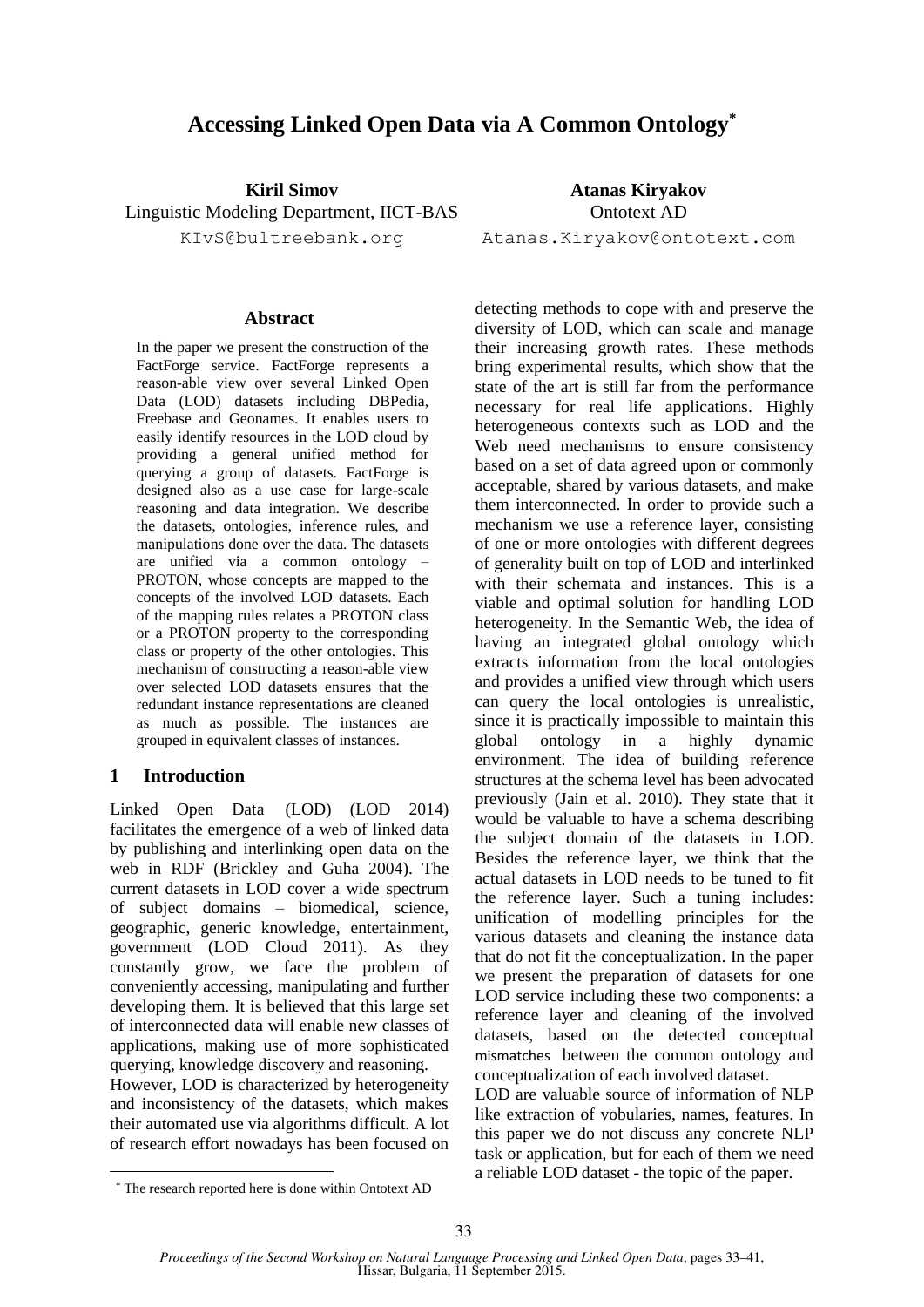# **Accessing Linked Open Data via A Common Ontology\***

**Kiril Simov** Linguistic Modeling Department, IICT-BAS KIvS@bultreebank.org

#### **Abstract**

In the paper we present the construction of the FactForge service. FactForge represents a reason-able view over several Linked Open Data (LOD) datasets including DBPedia, Freebase and Geonames. It enables users to easily identify resources in the LOD cloud by providing a general unified method for querying a group of datasets. FactForge is designed also as a use case for large-scale reasoning and data integration. We describe the datasets, ontologies, inference rules, and manipulations done over the data. The datasets are unified via a common ontology – PROTON, whose concepts are mapped to the concepts of the involved LOD datasets. Each of the mapping rules relates a PROTON class or a PROTON property to the corresponding class or property of the other ontologies. This mechanism of constructing a reason-able view over selected LOD datasets ensures that the redundant instance representations are cleaned as much as possible. The instances are grouped in equivalent classes of instances.

#### **1 Introduction**

Linked Open Data (LOD) (LOD 2014) facilitates the emergence of a web of linked data by publishing and interlinking open data on the web in RDF (Brickley and Guha 2004). The current datasets in LOD cover a wide spectrum of subject domains – biomedical, science, geographic, generic knowledge, entertainment, government (LOD Cloud 2011). As they constantly grow, we face the problem of conveniently accessing, manipulating and further developing them. It is believed that this large set of interconnected data will enable new classes of applications, making use of more sophisticated querying, knowledge discovery and reasoning.

However, LOD is characterized by heterogeneity and inconsistency of the datasets, which makes their automated use via algorithms difficult. A lot of research effort nowadays has been focused on detecting methods to cope with and preserve the diversity of LOD, which can scale and manage their increasing growth rates. These methods bring experimental results, which show that the state of the art is still far from the performance necessary for real life applications. Highly heterogeneous contexts such as LOD and the Web need mechanisms to ensure consistency based on a set of data agreed upon or commonly acceptable, shared by various datasets, and make them interconnected. In order to provide such a mechanism we use a reference layer, consisting of one or more ontologies with different degrees of generality built on top of LOD and interlinked with their schemata and instances. This is a viable and optimal solution for handling LOD heterogeneity. In the Semantic Web, the idea of having an integrated global ontology which extracts information from the local ontologies and provides a unified view through which users can query the local ontologies is unrealistic, since it is practically impossible to maintain this global ontology in a highly dynamic environment. The idea of building reference structures at the schema level has been advocated previously (Jain et al. 2010). They state that it would be valuable to have a schema describing the subject domain of the datasets in LOD. Besides the reference layer, we think that the actual datasets in LOD needs to be tuned to fit the reference layer. Such a tuning includes: unification of modelling principles for the various datasets and cleaning the instance data that do not fit the conceptualization. In the paper we present the preparation of datasets for one LOD service including these two components: a reference layer and cleaning of the involved datasets, based on the detected conceptual mismatches between the common ontology and conceptualization of each involved dataset.

LOD are valuable source of information of NLP like extraction of vobularies, names, features. In this paper we do not discuss any concrete NLP task or application, but for each of them we need a reliable LOD dataset - the topic of the paper.

**Atanas Kiryakov** Ontotext AD

Atanas.Kiryakov@ontotext.com

<sup>\*</sup> The research reported here is done within Ontotext AD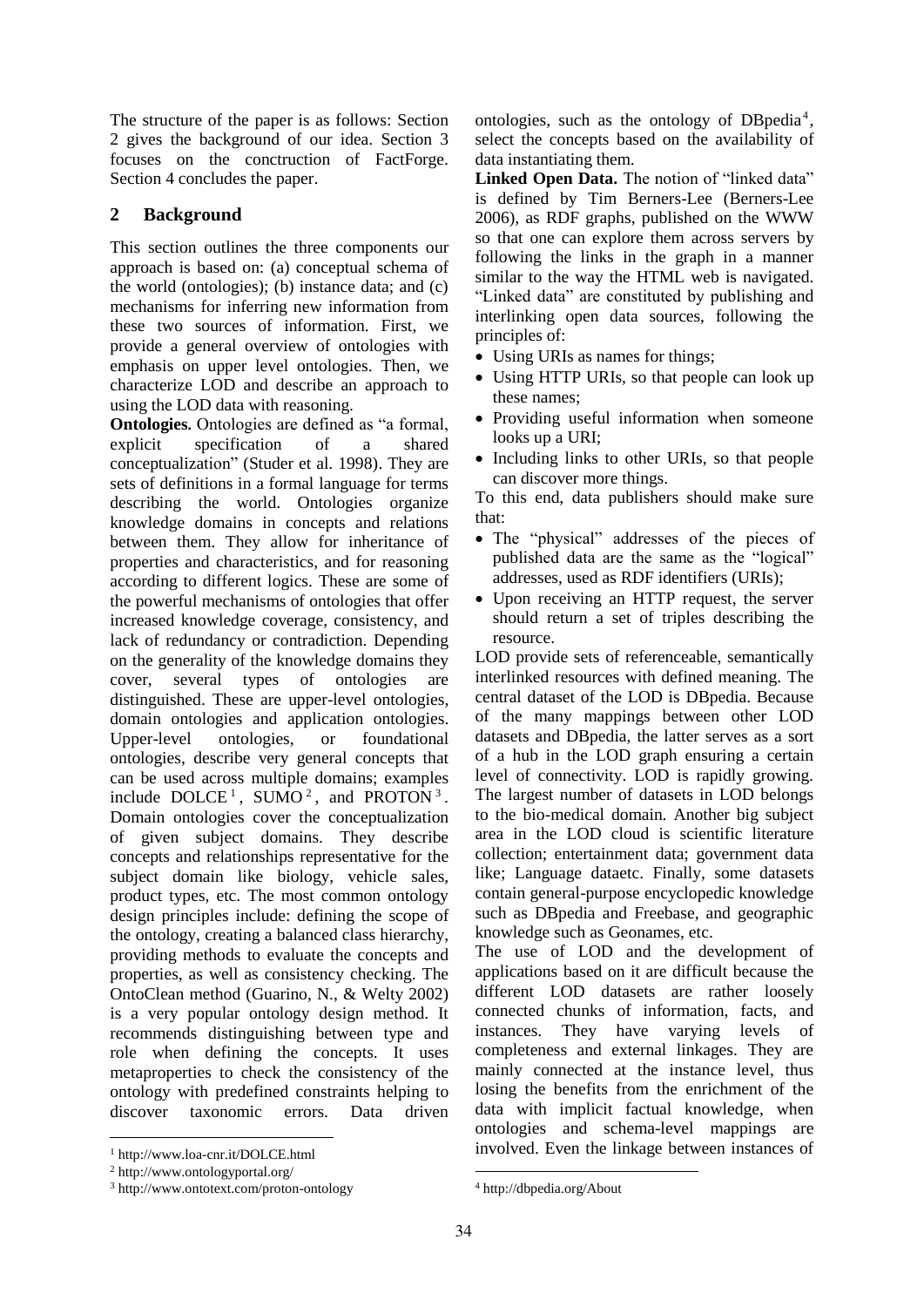The structure of the paper is as follows: Section 2 gives the background of our idea. Section 3 focuses on the conctruction of FactForge. Section 4 concludes the paper.

## **2 Background**

This section outlines the three components our approach is based on: (a) conceptual schema of the world (ontologies); (b) instance data; and (c) mechanisms for inferring new information from these two sources of information. First, we provide a general overview of ontologies with emphasis on upper level ontologies. Then, we characterize LOD and describe an approach to using the LOD data with reasoning.

**Ontologies.** Ontologies are defined as "a formal, explicit specification of a shared conceptualization" (Studer et al. 1998). They are sets of definitions in a formal language for terms describing the world. Ontologies organize knowledge domains in concepts and relations between them. They allow for inheritance of properties and characteristics, and for reasoning according to different logics. These are some of the powerful mechanisms of ontologies that offer increased knowledge coverage, consistency, and lack of redundancy or contradiction. Depending on the generality of the knowledge domains they cover, several types of ontologies are distinguished. These are upper-level ontologies, domain ontologies and application ontologies. Upper-level ontologies, or foundational ontologies, describe very general concepts that can be used across multiple domains; examples include  $DOLCE<sup>1</sup>$ , SUMO<sup>2</sup>, and PROTON<sup>3</sup>. Domain ontologies cover the conceptualization of given subject domains. They describe concepts and relationships representative for the subject domain like biology, vehicle sales, product types, etc. The most common ontology design principles include: defining the scope of the ontology, creating a balanced class hierarchy, providing methods to evaluate the concepts and properties, as well as consistency checking. The OntoClean method (Guarino, N., & Welty 2002) is a very popular ontology design method. It recommends distinguishing between type and role when defining the concepts. It uses metaproperties to check the consistency of the ontology with predefined constraints helping to discover taxonomic errors. Data driven

ontologies, such as the ontology of DBpedia<sup>4</sup>, select the concepts based on the availability of data instantiating them.

Linked Open Data. The notion of "linked data" is defined by Tim Berners-Lee (Berners-Lee 2006), as RDF graphs, published on the WWW so that one can explore them across servers by following the links in the graph in a manner similar to the way the HTML web is navigated. "Linked data" are constituted by publishing and interlinking open data sources, following the principles of:

- Using URIs as names for things;
- Using HTTP URIs, so that people can look up these names;
- Providing useful information when someone looks up a URI;
- Including links to other URIs, so that people can discover more things.

To this end, data publishers should make sure that:

- The "physical" addresses of the pieces of published data are the same as the "logical" addresses, used as RDF identifiers (URIs);
- Upon receiving an HTTP request, the server should return a set of triples describing the resource.

LOD provide sets of referenceable, semantically interlinked resources with defined meaning. The central dataset of the LOD is DBpedia. Because of the many mappings between other LOD datasets and DBpedia, the latter serves as a sort of a hub in the LOD graph ensuring a certain level of connectivity. LOD is rapidly growing. The largest number of datasets in LOD belongs to the bio-medical domain. Another big subject area in the LOD cloud is scientific literature collection; entertainment data; government data like; Language dataetc. Finally, some datasets contain general-purpose encyclopedic knowledge such as DBpedia and Freebase, and geographic knowledge such as Geonames, etc.

The use of LOD and the development of applications based on it are difficult because the different LOD datasets are rather loosely connected chunks of information, facts, and instances. They have varying levels of completeness and external linkages. They are mainly connected at the instance level, thus losing the benefits from the enrichment of the data with implicit factual knowledge, when ontologies and schema-level mappings are involved. Even the linkage between instances of

 <sup>1</sup> http://www.loa-cnr.it/DOLCE.html

<sup>2</sup> http://www.ontologyportal.org/

<sup>3</sup> http://www.ontotext.com/proton-ontology

<sup>4</sup> http://dbpedia.org/About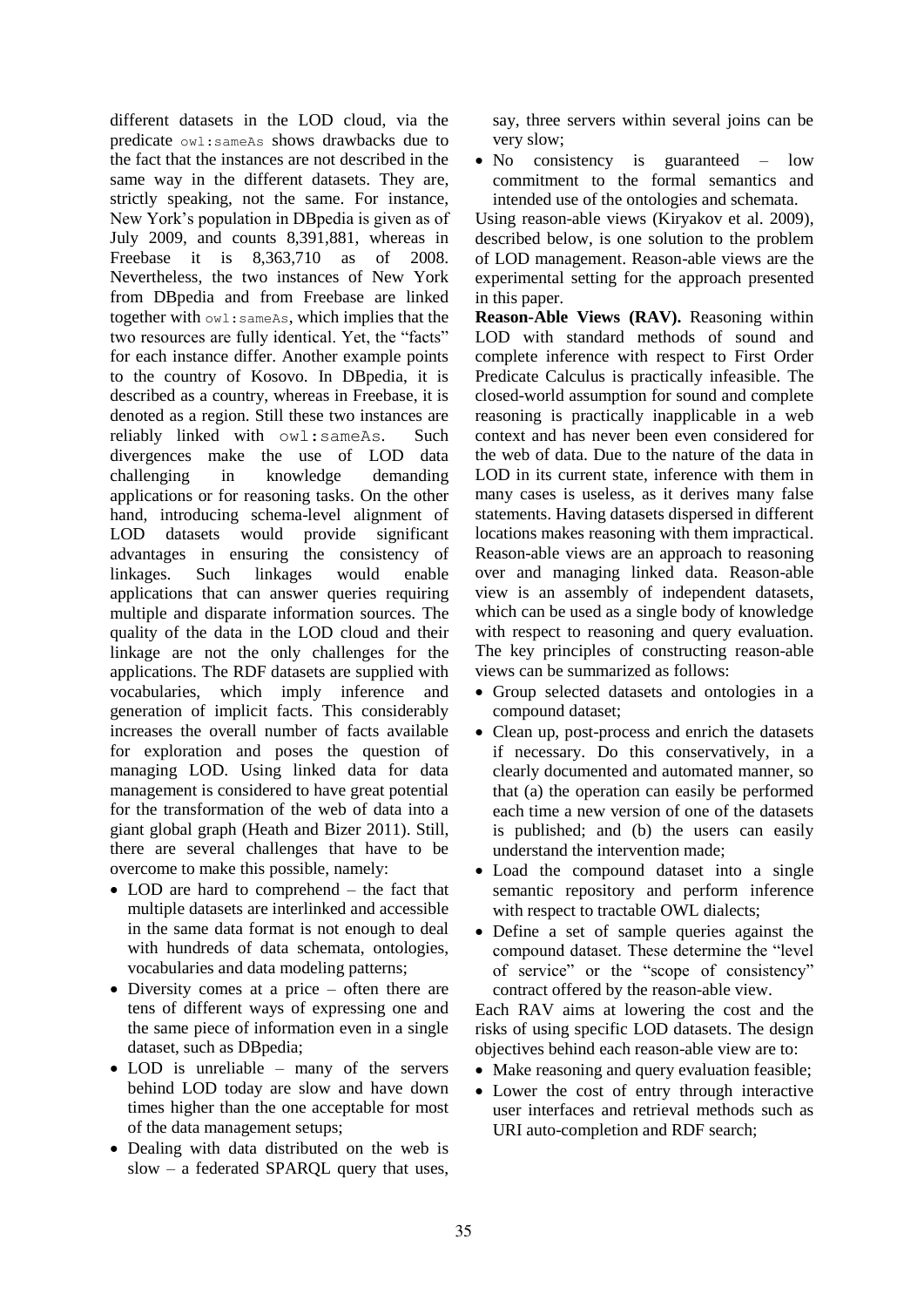different datasets in the LOD cloud, via the predicate owl:sameAs shows drawbacks due to the fact that the instances are not described in the same way in the different datasets. They are, strictly speaking, not the same. For instance, New York's population in DBpedia is given as of July 2009, and counts 8,391,881, whereas in Freebase it is 8,363,710 as of 2008. Nevertheless, the two instances of New York from DBpedia and from Freebase are linked together with owl:sameAs, which implies that the two resources are fully identical. Yet, the "facts" for each instance differ. Another example points to the country of Kosovo. In DBpedia, it is described as a country, whereas in Freebase, it is denoted as a region. Still these two instances are reliably linked with owl:sameAs. Such divergences make the use of LOD data challenging in knowledge demanding applications or for reasoning tasks. On the other hand, introducing schema-level alignment of LOD datasets would provide significant advantages in ensuring the consistency of linkages. Such linkages would enable applications that can answer queries requiring multiple and disparate information sources. The quality of the data in the LOD cloud and their linkage are not the only challenges for the applications. The RDF datasets are supplied with vocabularies, which imply inference and generation of implicit facts. This considerably increases the overall number of facts available for exploration and poses the question of managing LOD. Using linked data for data management is considered to have great potential for the transformation of the web of data into a giant global graph (Heath and Bizer 2011). Still, there are several challenges that have to be overcome to make this possible, namely:

- LOD are hard to comprehend the fact that multiple datasets are interlinked and accessible in the same data format is not enough to deal with hundreds of data schemata, ontologies, vocabularies and data modeling patterns;
- Diversity comes at a price often there are tens of different ways of expressing one and the same piece of information even in a single dataset, such as DBpedia;
- LOD is unreliable many of the servers behind LOD today are slow and have down times higher than the one acceptable for most of the data management setups;
- Dealing with data distributed on the web is slow – a federated SPARQL query that uses,

say, three servers within several joins can be very slow;

• No consistency is guaranteed – low commitment to the formal semantics and intended use of the ontologies and schemata.

Using reason-able views (Kiryakov et al. 2009), described below, is one solution to the problem of LOD management. Reason-able views are the experimental setting for the approach presented in this paper.

**Reason-Able Views (RAV).** Reasoning within LOD with standard methods of sound and complete inference with respect to First Order Predicate Calculus is practically infeasible. The closed-world assumption for sound and complete reasoning is practically inapplicable in a web context and has never been even considered for the web of data. Due to the nature of the data in LOD in its current state, inference with them in many cases is useless, as it derives many false statements. Having datasets dispersed in different locations makes reasoning with them impractical. Reason-able views are an approach to reasoning over and managing linked data. Reason-able view is an assembly of independent datasets, which can be used as a single body of knowledge with respect to reasoning and query evaluation. The key principles of constructing reason-able views can be summarized as follows:

- Group selected datasets and ontologies in a compound dataset;
- Clean up, post-process and enrich the datasets if necessary. Do this conservatively, in a clearly documented and automated manner, so that (a) the operation can easily be performed each time a new version of one of the datasets is published; and (b) the users can easily understand the intervention made;
- Load the compound dataset into a single semantic repository and perform inference with respect to tractable OWL dialects;
- Define a set of sample queries against the compound dataset. These determine the "level of service" or the "scope of consistency" contract offered by the reason-able view.

Each RAV aims at lowering the cost and the risks of using specific LOD datasets. The design objectives behind each reason-able view are to:

- Make reasoning and query evaluation feasible;
- Lower the cost of entry through interactive user interfaces and retrieval methods such as URI auto-completion and RDF search;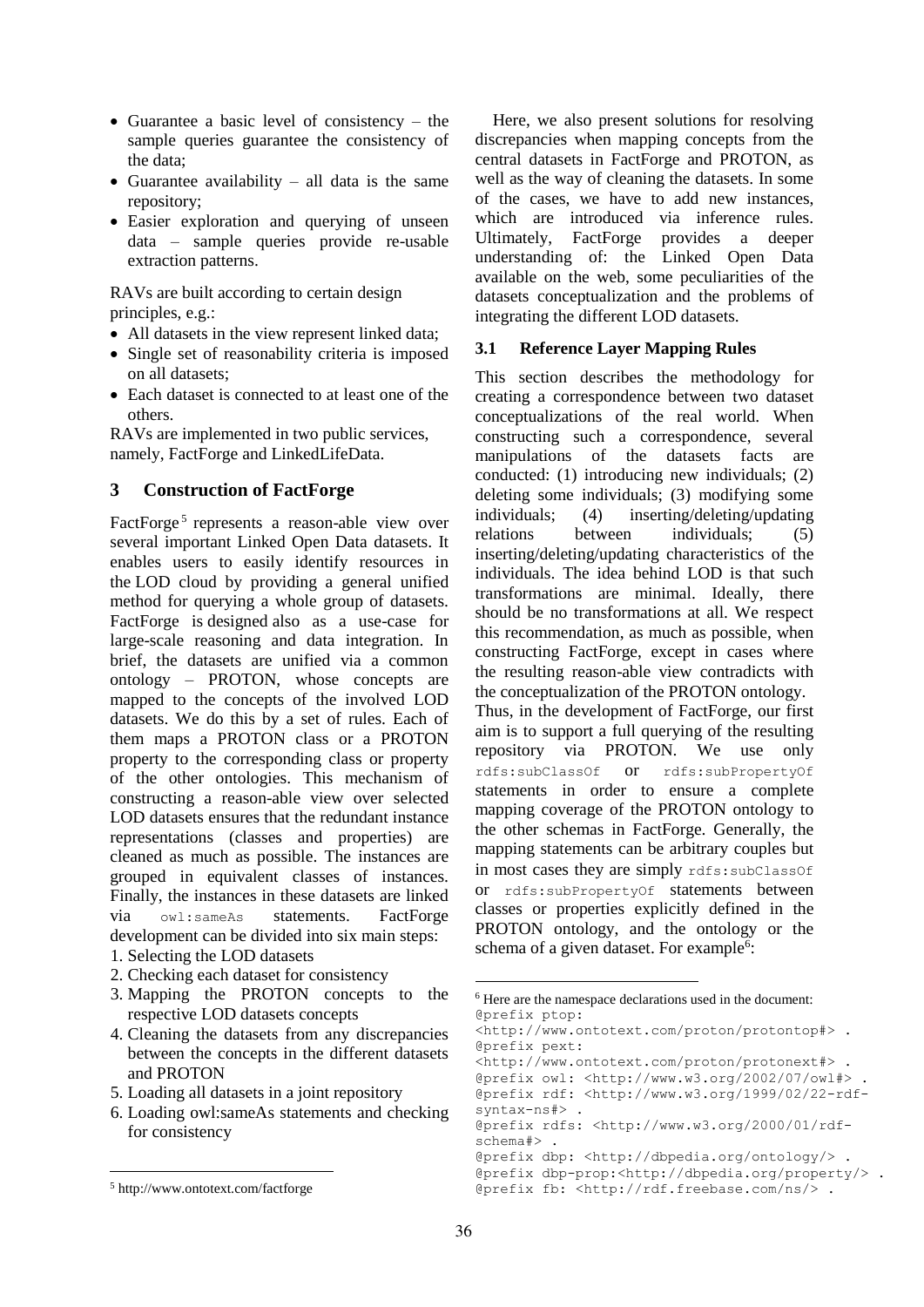- Guarantee a basic level of consistency  $-$  the sample queries guarantee the consistency of the data;
- Guarantee availability all data is the same repository;
- Easier exploration and querying of unseen data – sample queries provide re-usable extraction patterns.

RAVs are built according to certain design principles, e.g.:

- All datasets in the view represent linked data;
- Single set of reasonability criteria is imposed on all datasets;
- Each dataset is connected to at least one of the others.

RAVs are implemented in two public services, namely, FactForge and LinkedLifeData.

### **3 Construction of FactForge**

FactForge<sup>5</sup> represents a reason-able view over several important Linked Open Data datasets. It enables users to easily identify resources in the LOD cloud by providing a general unified method for querying a whole group of datasets. FactForge is designed also as a use-case for large-scale reasoning and data integration. In brief, the datasets are unified via a common ontology – PROTON, whose concepts are mapped to the concepts of the involved LOD datasets. We do this by a set of rules. Each of them maps a PROTON class or a PROTON property to the corresponding class or property of the other ontologies. This mechanism of constructing a reason-able view over selected LOD datasets ensures that the redundant instance representations (classes and properties) are cleaned as much as possible. The instances are grouped in equivalent classes of instances. Finally, the instances in these datasets are linked via owl:sameAs statements. FactForge development can be divided into six main steps:

- 1. Selecting the LOD datasets
- 2. Checking each dataset for consistency
- 3. Mapping the PROTON concepts to the respective LOD datasets concepts
- 4. Cleaning the datasets from any discrepancies between the concepts in the different datasets and PROTON
- 5. Loading all datasets in a joint repository
- 6. Loading owl:sameAs statements and checking for consistency

Here, we also present solutions for resolving discrepancies when mapping concepts from the central datasets in FactForge and PROTON, as well as the way of cleaning the datasets. In some of the cases, we have to add new instances, which are introduced via inference rules. Ultimately, FactForge provides a deeper understanding of: the Linked Open Data available on the web, some peculiarities of the datasets conceptualization and the problems of integrating the different LOD datasets.

#### **3.1 Reference Layer Mapping Rules**

This section describes the methodology for creating a correspondence between two dataset conceptualizations of the real world. When constructing such a correspondence, several manipulations of the datasets facts are conducted: (1) introducing new individuals; (2) deleting some individuals; (3) modifying some individuals; (4) inserting/deleting/updating relations between individuals; (5) inserting/deleting/updating characteristics of the individuals. The idea behind LOD is that such transformations are minimal. Ideally, there should be no transformations at all. We respect this recommendation, as much as possible, when constructing FactForge, except in cases where the resulting reason-able view contradicts with the conceptualization of the PROTON ontology. Thus, in the development of FactForge, our first aim is to support a full querying of the resulting repository via PROTON. We use only rdfs:subClassOf or rdfs:subPropertyOf statements in order to ensure a complete mapping coverage of the PROTON ontology to the other schemas in FactForge. Generally, the mapping statements can be arbitrary couples but in most cases they are simply rdfs:subClassOf or rdfs:subPropertyOf statements between classes or properties explicitly defined in the PROTON ontology, and the ontology or the schema of a given dataset. For example<sup>6</sup>:

<http://www.ontotext.com/proton/protonext#> . @prefix owl: <http://www.w3.org/2002/07/owl#> . @prefix rdf: <http://www.w3.org/1999/02/22-rdfsyntax-ns#> .

@prefix rdfs: <http://www.w3.org/2000/01/rdfschema#> .

@prefix dbp: <http://dbpedia.org/ontology/> . @prefix dbp-prop:<http://dbpedia.org/property/> . @prefix fb: <http://rdf.freebase.com/ns/> .

<sup>5</sup> http://www.ontotext.com/factforge

<sup>6</sup> Here are the namespace declarations used in the document: @prefix ptop:

<sup>&</sup>lt;http://www.ontotext.com/proton/protontop#> . @prefix pext: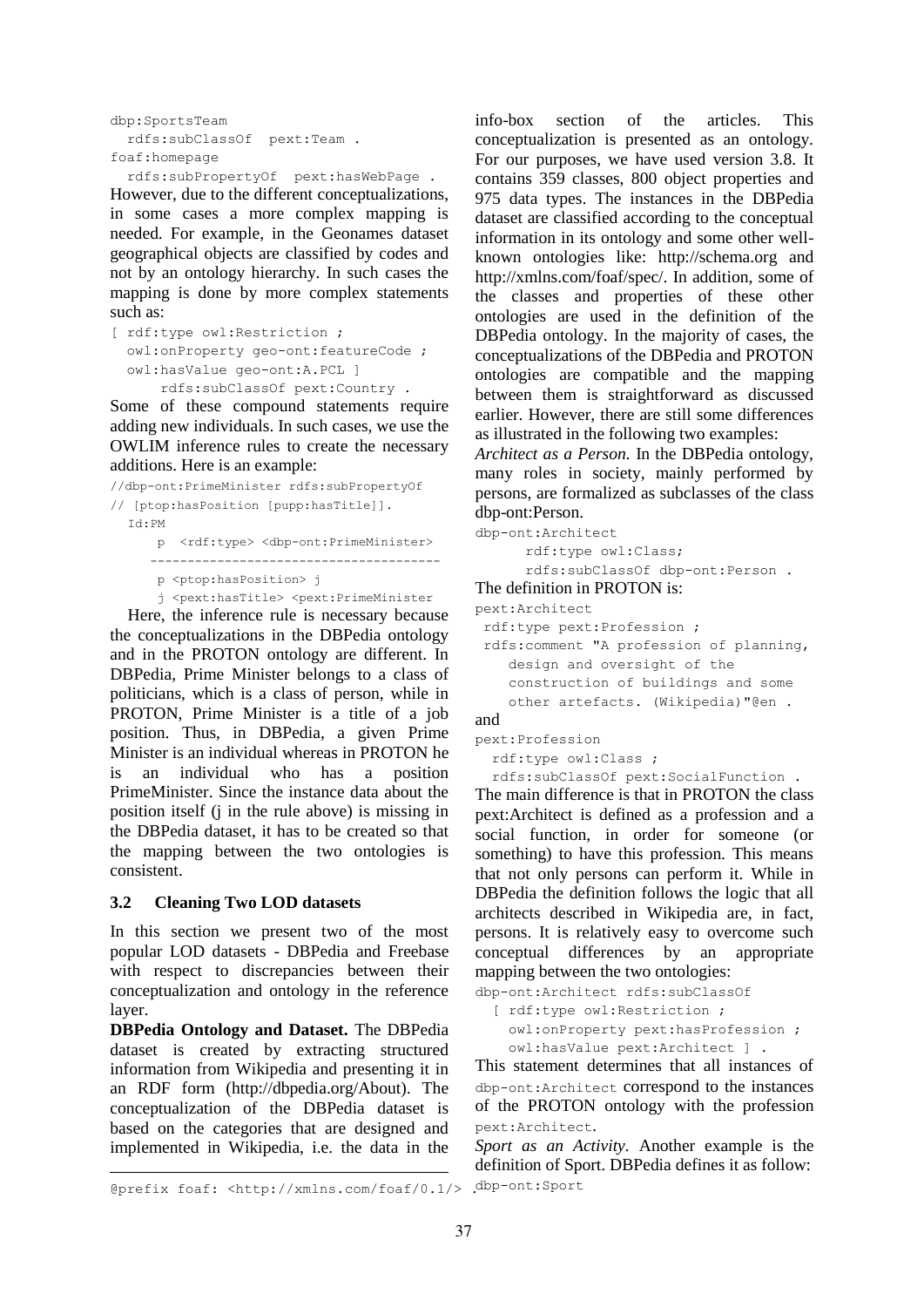```
dbp:SportsTeam 
   rdfs:subClassOf pext:Team .
foaf:homepage
```
rdfs:subPropertyOf pext:hasWebPage .

However, due to the different conceptualizations, in some cases a more complex mapping is needed. For example, in the Geonames dataset geographical objects are classified by codes and not by an ontology hierarchy. In such cases the mapping is done by more complex statements such as:

[ rdf:type owl:Restriction ; owl:onProperty geo-ont:featureCode ; owl:hasValue geo-ont:A.PCL ] rdfs:subClassOf pext:Country .

Some of these compound statements require adding new individuals. In such cases, we use the OWLIM inference rules to create the necessary additions. Here is an example:

```
//dbp-ont:PrimeMinister rdfs:subPropertyOf 
// [ptop:hasPosition [pupp:hasTitle]].
  Id:PM
       p <rdf:type> <dbp-ont:PrimeMinister>
      ---------------------------------------
       p <ptop:hasPosition> j
       j <pext:hasTitle> <pext:PrimeMinister
```
Here, the inference rule is necessary because the conceptualizations in the DBPedia ontology and in the PROTON ontology are different. In DBPedia, Prime Minister belongs to a class of politicians, which is a class of person, while in PROTON, Prime Minister is a title of a job position. Thus, in DBPedia, a given Prime Minister is an individual whereas in PROTON he is an individual who has a position PrimeMinister. Since the instance data about the position itself (j in the rule above) is missing in the DBPedia dataset, it has to be created so that the mapping between the two ontologies is consistent.

#### **3.2 Cleaning Two LOD datasets**

In this section we present two of the most popular LOD datasets - DBPedia and Freebase with respect to discrepancies between their conceptualization and ontology in the reference layer.

**DBPedia Ontology and Dataset.** The DBPedia dataset is created by extracting structured information from Wikipedia and presenting it in an RDF form (http://dbpedia.org/About). The conceptualization of the DBPedia dataset is based on the categories that are designed and implemented in Wikipedia, i.e. the data in the

info-box section of the articles. This conceptualization is presented as an ontology. For our purposes, we have used version 3.8. It contains 359 classes, 800 object properties and 975 data types. The instances in the DBPedia dataset are classified according to the conceptual information in its ontology and some other wellknown ontologies like: http://schema.org and http://xmlns.com/foaf/spec/. In addition, some of the classes and properties of these other ontologies are used in the definition of the DBPedia ontology. In the majority of cases, the conceptualizations of the DBPedia and PROTON ontologies are compatible and the mapping between them is straightforward as discussed earlier. However, there are still some differences as illustrated in the following two examples:

*Architect as a Person.* In the DBPedia ontology, many roles in society, mainly performed by persons, are formalized as subclasses of the class dbp-ont:Person.

```
dbp-ont:Architect
       rdf:type owl:Class;
       rdfs:subClassOf dbp-ont:Person .
The definition in PROTON is:
pext:Architect
 rdf:type pext:Profession ;
 rdfs:comment "A profession of planning,
     design and oversight of the 
     construction of buildings and some 
     other artefacts. (Wikipedia)"@en .
and
```

```
pext:Profession
   rdf:type owl:Class ;
```
rdfs:subClassOf pext:SocialFunction .

The main difference is that in PROTON the class pext:Architect is defined as a profession and a social function, in order for someone (or something) to have this profession. This means that not only persons can perform it. While in DBPedia the definition follows the logic that all architects described in Wikipedia are, in fact, persons. It is relatively easy to overcome such conceptual differences by an appropriate mapping between the two ontologies: dbp-ont:Architect rdfs:subClassOf

[ rdf:type owl:Restriction ;

```
 owl:onProperty pext:hasProfession ;
 owl:hasValue pext:Architect ] .
```
This statement determines that all instances of dbp-ont:Architect correspond to the instances of the PROTON ontology with the profession pext:Architect.

*Sport as an Activity.* Another example is the definition of Sport. DBPedia defines it as follow: dbp-ont:Sport

<sup>@</sup>prefix foaf: <http://xmlns.com/foaf/0.1/> .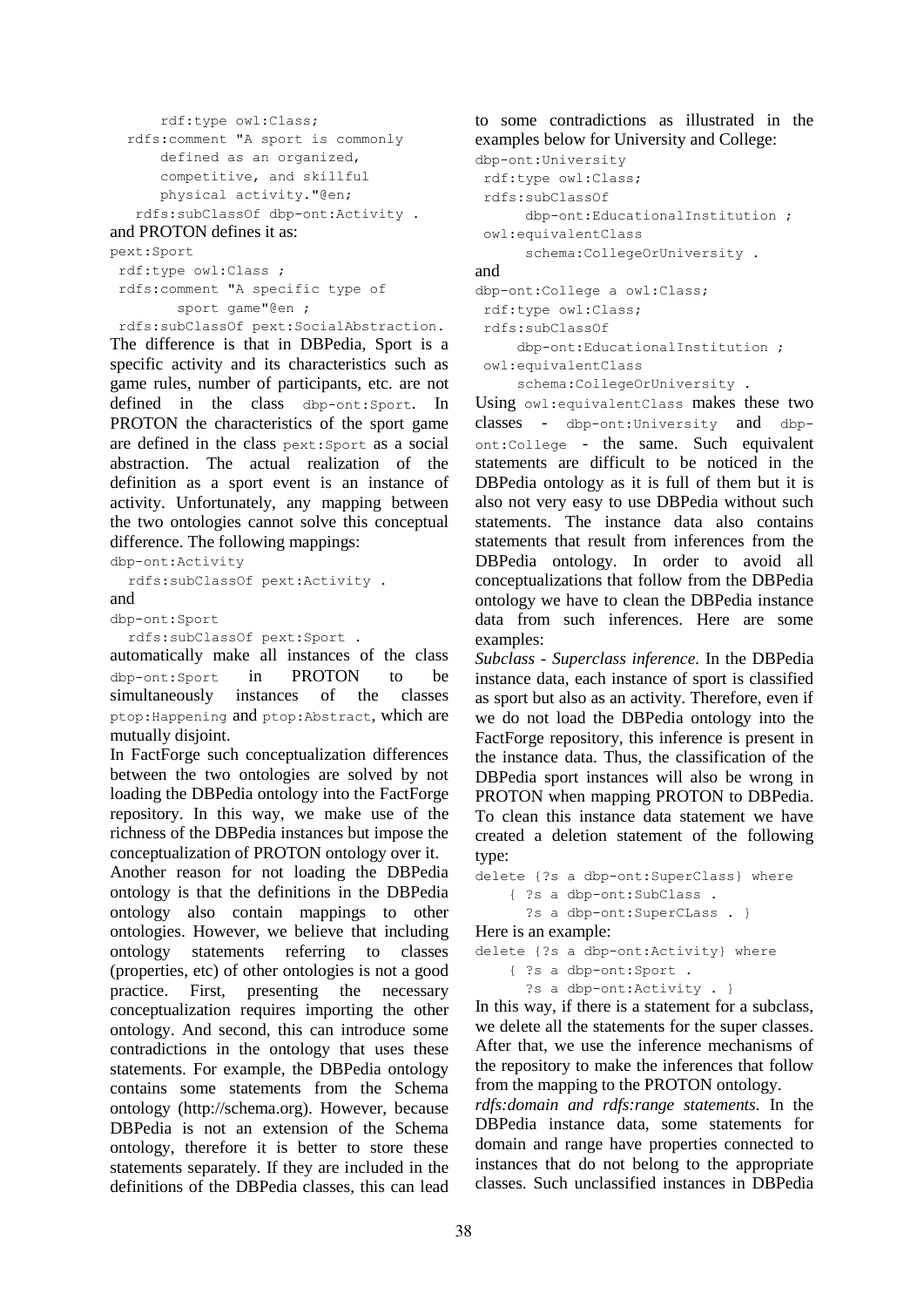```
 rdf:type owl:Class;
 rdfs:comment "A sport is commonly 
     defined as an organized, 
     competitive, and skillful 
     physical activity."@en;
  rdfs:subClassOf dbp-ont:Activity .
```
and PROTON defines it as:

pext:Sport

```
rdf:type owl:Class ;
rdfs:comment "A specific type of 
        sport game"@en ;
```
rdfs:subClassOf pext:SocialAbstraction.

The difference is that in DBPedia, Sport is a specific activity and its characteristics such as game rules, number of participants, etc. are not defined in the class dbp-ont:Sport. In PROTON the characteristics of the sport game are defined in the class pext:Sport as a social abstraction. The actual realization of the definition as a sport event is an instance of activity. Unfortunately, any mapping between the two ontologies cannot solve this conceptual difference. The following mappings:

dbp-ont:Activity

rdfs:subClassOf pext:Activity .

```
and
```
dbp-ont:Sport

```
rdfs:subClassOf pext:Sport .
```
automatically make all instances of the class dbp-ont:Sport in PROTON to be simultaneously instances of the classes ptop:Happening and ptop:Abstract, which are mutually disjoint.

In FactForge such conceptualization differences between the two ontologies are solved by not loading the DBPedia ontology into the FactForge repository. In this way, we make use of the richness of the DBPedia instances but impose the conceptualization of PROTON ontology over it.

Another reason for not loading the DBPedia ontology is that the definitions in the DBPedia ontology also contain mappings to other ontologies. However, we believe that including ontology statements referring to classes (properties, etc) of other ontologies is not a good practice. First, presenting the necessary conceptualization requires importing the other ontology. And second, this can introduce some contradictions in the ontology that uses these statements. For example, the DBPedia ontology contains some statements from the Schema ontology (http://schema.org). However, because DBPedia is not an extension of the Schema ontology, therefore it is better to store these statements separately. If they are included in the definitions of the DBPedia classes, this can lead

to some contradictions as illustrated in the examples below for University and College:

```
dbp-ont:University
 rdf:type owl:Class;
 rdfs:subClassOf 
       dbp-ont:EducationalInstitution ;
 owl:equivalentClass 
       schema:CollegeOrUniversity .
```
and

```
dbp-ont:College a owl:Class;
 rdf:type owl:Class;
 rdfs:subClassOf 
      dbp-ont:EducationalInstitution ;
 owl:equivalentClass
```
schema:CollegeOrUniversity .

Using owl:equivalentClass makes these two classes - dbp-ont:University and dbpont:College - the same. Such equivalent statements are difficult to be noticed in the DBPedia ontology as it is full of them but it is also not very easy to use DBPedia without such statements. The instance data also contains statements that result from inferences from the DBPedia ontology. In order to avoid all conceptualizations that follow from the DBPedia ontology we have to clean the DBPedia instance data from such inferences. Here are some examples:

*Subclass - Superclass inference.* In the DBPedia instance data, each instance of sport is classified as sport but also as an activity. Therefore, even if we do not load the DBPedia ontology into the FactForge repository, this inference is present in the instance data. Thus, the classification of the DBPedia sport instances will also be wrong in PROTON when mapping PROTON to DBPedia. To clean this instance data statement we have created a deletion statement of the following type:

```
delete {?s a dbp-ont:SuperClass} where
     { ?s a dbp-ont:SubClass .
       ?s a dbp-ont:SuperCLass . }
Here is an example:
delete {?s a dbp-ont:Activity} where
```

```
 { ?s a dbp-ont:Sport .
   ?s a dbp-ont:Activity . }
```
In this way, if there is a statement for a subclass, we delete all the statements for the super classes. After that, we use the inference mechanisms of the repository to make the inferences that follow from the mapping to the PROTON ontology.

*rdfs:domain and rdfs:range statements.* In the DBPedia instance data, some statements for domain and range have properties connected to instances that do not belong to the appropriate classes. Such unclassified instances in DBPedia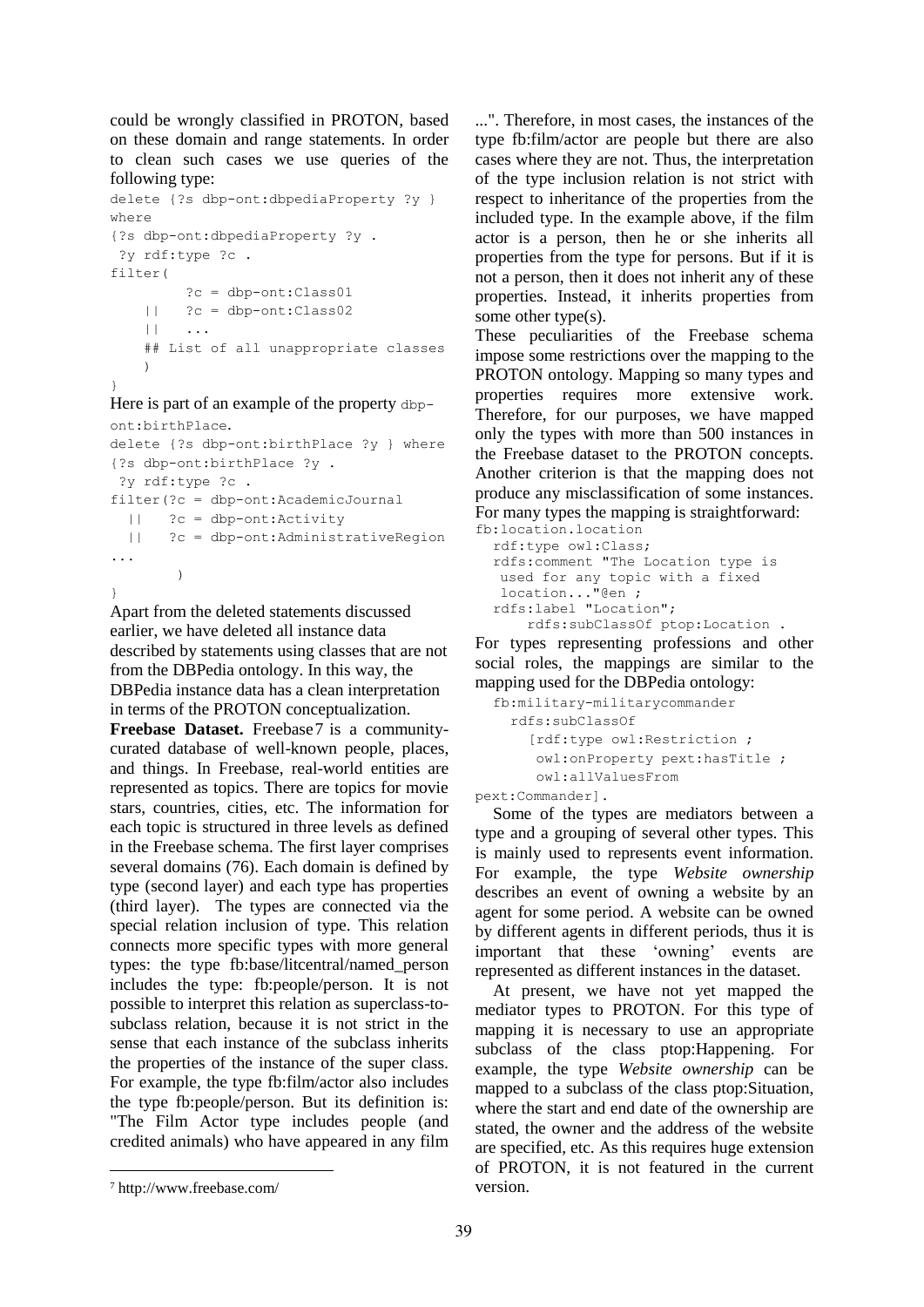could be wrongly classified in PROTON, based on these domain and range statements. In order to clean such cases we use queries of the following type:

```
delete {?s dbp-ont:dbpediaProperty ?y }
where
{?s dbp-ont:dbpediaProperty ?y .
?y rdf:type ?c .
filter(
          ?c = dbp-ont:Class01
     || ?c = dbp-ont:Class02
    || || || || ## List of all unappropriate classes 
     )
}
```
Here is part of an example of the property dbpont:birthPlace.

```
delete {?s dbp-ont:birthPlace ?y } where
{?s dbp-ont:birthPlace ?y .
 ?y rdf:type ?c .
filter(?c = dbp-ont:AcademicJournal 
  || ?c = dbp-ont:Activity
   || ?c = dbp-ont:AdministrativeRegion 
...
         )
}
```
Apart from the deleted statements discussed earlier, we have deleted all instance data described by statements using classes that are not from the DBPedia ontology. In this way, the DBPedia instance data has a clean interpretation in terms of the PROTON conceptualization. **Freebase Dataset.** Freebase7 is a communitycurated database of well-known people, places, and things. In Freebase, real-world entities are represented as topics. There are topics for movie stars, countries, cities, etc. The information for each topic is structured in three levels as defined in the Freebase schema. The first layer comprises several domains (76). Each domain is defined by type (second layer) and each type has properties (third layer). The types are connected via the special relation inclusion of type. This relation connects more specific types with more general types: the type fb:base/litcentral/named\_person includes the type: fb:people/person. It is not possible to interpret this relation as superclass-tosubclass relation, because it is not strict in the sense that each instance of the subclass inherits the properties of the instance of the super class. For example, the type fb:film/actor also includes the type fb:people/person. But its definition is: "The Film Actor type includes people (and credited animals) who have appeared in any film

...". Therefore, in most cases, the instances of the type fb:film/actor are people but there are also cases where they are not. Thus, the interpretation of the type inclusion relation is not strict with respect to inheritance of the properties from the included type. In the example above, if the film actor is a person, then he or she inherits all properties from the type for persons. But if it is not a person, then it does not inherit any of these properties. Instead, it inherits properties from some other type(s).

These peculiarities of the Freebase schema impose some restrictions over the mapping to the PROTON ontology. Mapping so many types and properties requires more extensive work. Therefore, for our purposes, we have mapped only the types with more than 500 instances in the Freebase dataset to the PROTON concepts. Another criterion is that the mapping does not produce any misclassification of some instances. For many types the mapping is straightforward:

```
fb:location.location
  rdf:type owl:Class;
  rdfs:comment "The Location type is
    used for any topic with a fixed 
    location..."@en ;
  rdfs:label "Location";
       rdfs:subClassOf ptop:Location .
```
For types representing professions and other social roles, the mappings are similar to the mapping used for the DBPedia ontology:

```
fb:military-militarycommander
  rdfs:subClassOf 
    [rdf:type owl:Restriction ;
     owl:onProperty pext:hasTitle ;
     owl:allValuesFrom
```
pext:Commander].

Some of the types are mediators between a type and a grouping of several other types. This is mainly used to represents event information. For example, the type *Website ownership* describes an event of owning a website by an agent for some period. A website can be owned by different agents in different periods, thus it is important that these 'owning' events are represented as different instances in the dataset.

At present, we have not yet mapped the mediator types to PROTON. For this type of mapping it is necessary to use an appropriate subclass of the class ptop:Happening. For example, the type *Website ownership* can be mapped to a subclass of the class ptop:Situation, where the start and end date of the ownership are stated, the owner and the address of the website are specified, etc. As this requires huge extension of PROTON, it is not featured in the current version.

<sup>7</sup> http://www.freebase.com/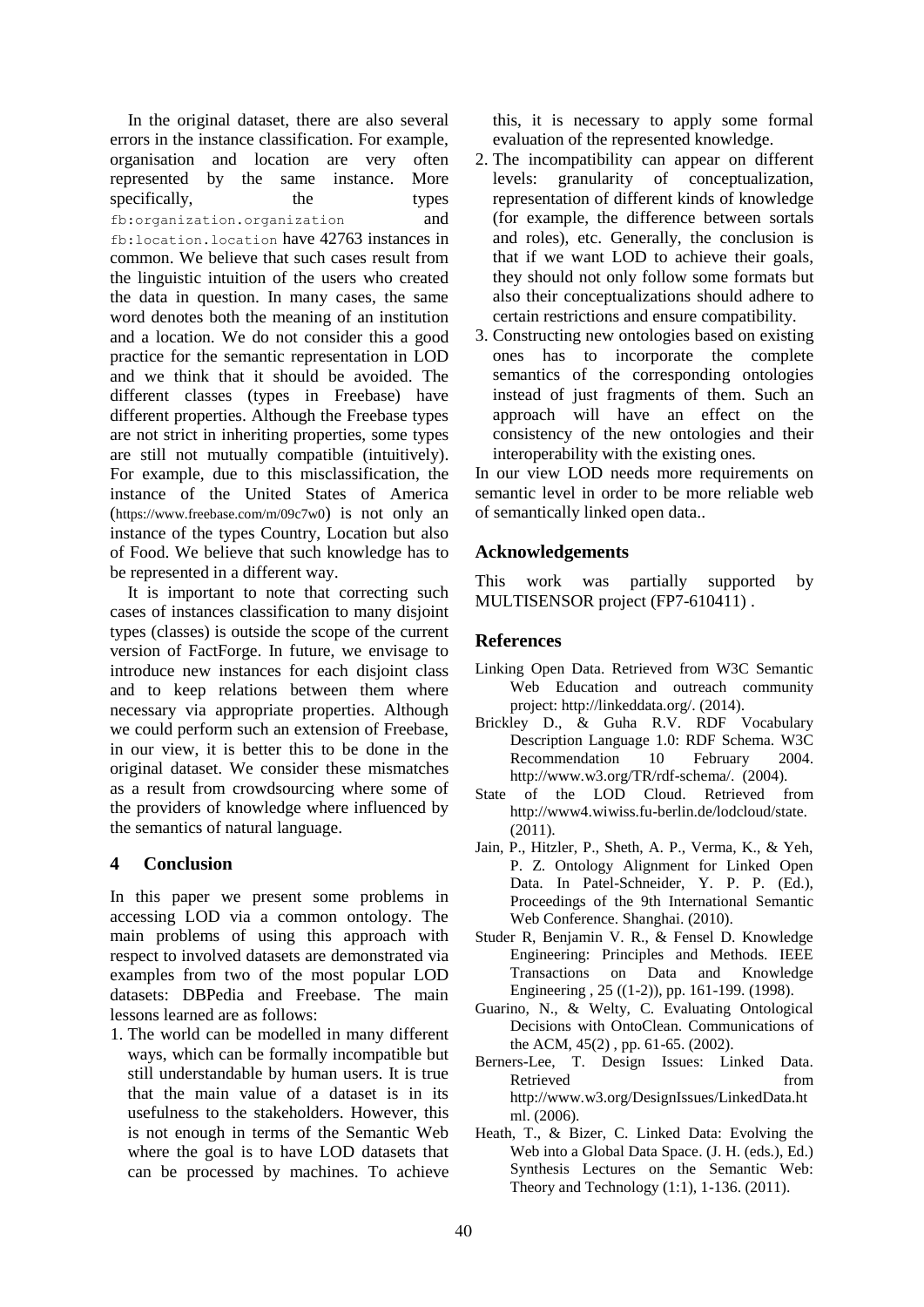In the original dataset, there are also several errors in the instance classification. For example, organisation and location are very often represented by the same instance. More specifically, the types fb:organization.organization and fb:location.location have 42763 instances in common. We believe that such cases result from the linguistic intuition of the users who created the data in question. In many cases, the same word denotes both the meaning of an institution and a location. We do not consider this a good practice for the semantic representation in LOD and we think that it should be avoided. The different classes (types in Freebase) have different properties. Although the Freebase types are not strict in inheriting properties, some types are still not mutually compatible (intuitively). For example, due to this misclassification, the instance of the United States of America (https://www.freebase.com/m/09c7w0) is not only an instance of the types Country, Location but also of Food. We believe that such knowledge has to be represented in a different way.

It is important to note that correcting such cases of instances classification to many disjoint types (classes) is outside the scope of the current version of FactForge. In future, we envisage to introduce new instances for each disjoint class and to keep relations between them where necessary via appropriate properties. Although we could perform such an extension of Freebase, in our view, it is better this to be done in the original dataset. We consider these mismatches as a result from crowdsourcing where some of the providers of knowledge where influenced by the semantics of natural language.

## **4 Conclusion**

In this paper we present some problems in accessing LOD via a common ontology. The main problems of using this approach with respect to involved datasets are demonstrated via examples from two of the most popular LOD datasets: DBPedia and Freebase. The main lessons learned are as follows:

1. The world can be modelled in many different ways, which can be formally incompatible but still understandable by human users. It is true that the main value of a dataset is in its usefulness to the stakeholders. However, this is not enough in terms of the Semantic Web where the goal is to have LOD datasets that can be processed by machines. To achieve

this, it is necessary to apply some formal evaluation of the represented knowledge.

- 2. The incompatibility can appear on different levels: granularity of conceptualization, representation of different kinds of knowledge (for example, the difference between sortals and roles), etc. Generally, the conclusion is that if we want LOD to achieve their goals, they should not only follow some formats but also their conceptualizations should adhere to certain restrictions and ensure compatibility.
- 3. Constructing new ontologies based on existing ones has to incorporate the complete semantics of the corresponding ontologies instead of just fragments of them. Such an approach will have an effect on the consistency of the new ontologies and their interoperability with the existing ones.

In our view LOD needs more requirements on semantic level in order to be more reliable web of semantically linked open data..

## **Acknowledgements**

This work was partially supported by MULTISENSOR project (FP7-610411) .

## **References**

- Linking Open Data. Retrieved from W3C Semantic Web Education and outreach community project: http://linkeddata.org/. (2014).
- Brickley D., & Guha R.V. RDF Vocabulary Description Language 1.0: RDF Schema. W3C Recommendation 10 February 2004. http://www.w3.org/TR/rdf-schema/. (2004).
- State of the LOD Cloud. Retrieved from http://www4.wiwiss.fu-berlin.de/lodcloud/state. (2011).
- Jain, P., Hitzler, P., Sheth, A. P., Verma, K., & Yeh, P. Z. Ontology Alignment for Linked Open Data. In Patel-Schneider, Y. P. P. (Ed.), Proceedings of the 9th International Semantic Web Conference. Shanghai. (2010).
- Studer R, Benjamin V. R., & Fensel D. Knowledge Engineering: Principles and Methods. IEEE Transactions on Data and Knowledge Engineering , 25 ((1-2)), pp. 161-199. (1998).
- Guarino, N., & Welty, C. Evaluating Ontological Decisions with OntoClean. Communications of the ACM, 45(2) , pp. 61-65. (2002).
- Berners-Lee, T. Design Issues: Linked Data. Retrieved from the settlement of the settlement of the settlement of the settlement of the settlement of the settlement of the settlement of the settlement of the settlement of the settlement of the settlement of the settl http://www.w3.org/DesignIssues/LinkedData.ht ml. (2006).
- Heath, T., & Bizer, C. Linked Data: Evolving the Web into a Global Data Space. (J. H. (eds.), Ed.) Synthesis Lectures on the Semantic Web: Theory and Technology (1:1), 1-136. (2011).